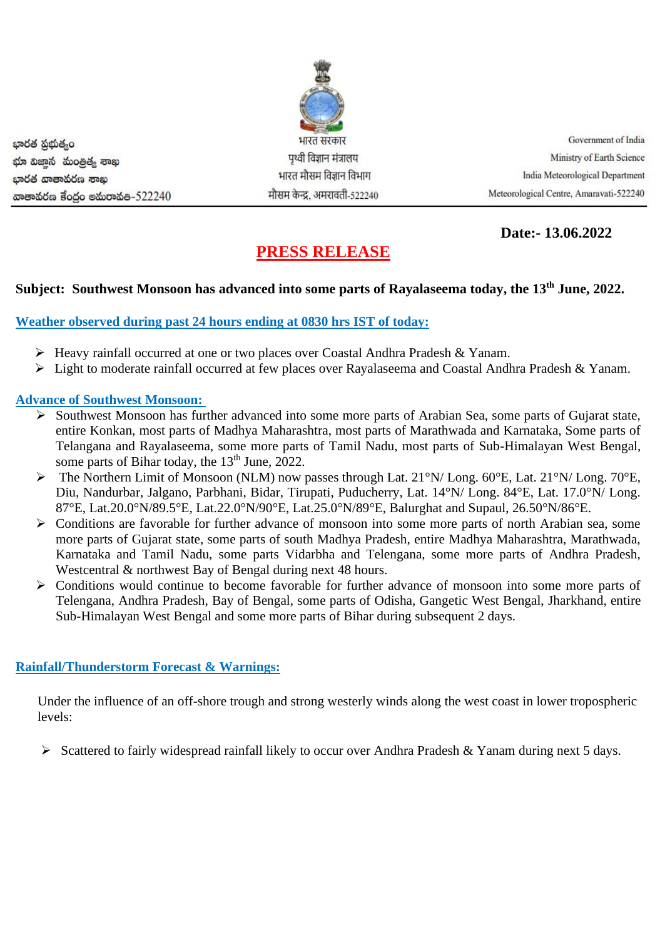

**Date:- 13.06.2022**

# **PRESS RELEASE**

## **Subject: Southwest Monsoon has advanced into some parts of Rayalaseema today, the 13 th June, 2022.**

#### **Weather observed during past 24 hours ending at 0830 hrs IST of today:**

- ➢ Heavy rainfall occurred at one or two places over Coastal Andhra Pradesh & Yanam.
- ➢ Light to moderate rainfall occurred at few places over Rayalaseema and Coastal Andhra Pradesh & Yanam.

### **Advance of Southwest Monsoon:**

- ➢ Southwest Monsoon has further advanced into some more parts of Arabian Sea, some parts of Gujarat state, entire Konkan, most parts of Madhya Maharashtra, most parts of Marathwada and Karnataka, Some parts of Telangana and Rayalaseema, some more parts of Tamil Nadu, most parts of Sub-Himalayan West Bengal, some parts of Bihar today, the 13<sup>th</sup> June, 2022.
- ➢ The Northern Limit of Monsoon (NLM) now passes through Lat. 21°N/ Long. 60°E, Lat. 21°N/ Long. 70°E, Diu, Nandurbar, Jalgano, Parbhani, Bidar, Tirupati, Puducherry, Lat. 14°N/ Long. 84°E, Lat. 17.0°N/ Long. 87°E, Lat.20.0°N/89.5°E, Lat.22.0°N/90°E, Lat.25.0°N/89°E, Balurghat and Supaul, 26.50°N/86°E.
- ➢ Conditions are favorable for further advance of monsoon into some more parts of north Arabian sea, some more parts of Gujarat state, some parts of south Madhya Pradesh, entire Madhya Maharashtra, Marathwada, Karnataka and Tamil Nadu, some parts Vidarbha and Telengana, some more parts of Andhra Pradesh, Westcentral & northwest Bay of Bengal during next 48 hours.
- ➢ Conditions would continue to become favorable for further advance of monsoon into some more parts of Telengana, Andhra Pradesh, Bay of Bengal, some parts of Odisha, Gangetic West Bengal, Jharkhand, entire Sub-Himalayan West Bengal and some more parts of Bihar during subsequent 2 days.

#### **Rainfall/Thunderstorm Forecast & Warnings:**

Under the influence of an off-shore trough and strong westerly winds along the west coast in lower tropospheric levels:

➢ Scattered to fairly widespread rainfall likely to occur over Andhra Pradesh & Yanam during next 5 days.